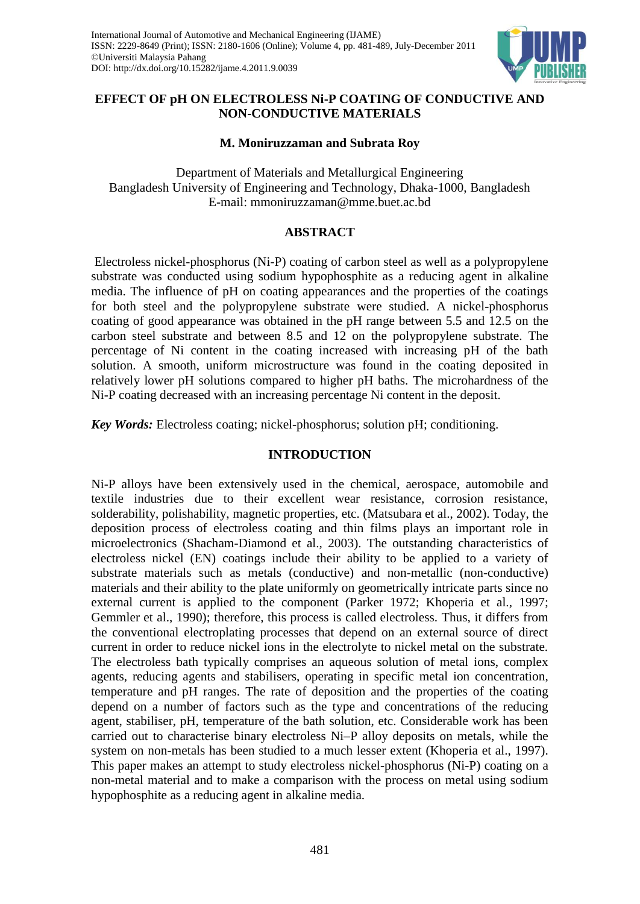

# **EFFECT OF pH ON ELECTROLESS Ni-P COATING OF CONDUCTIVE AND NON-CONDUCTIVE MATERIALS**

## **M. Moniruzzaman and Subrata Roy**

Department of Materials and Metallurgical Engineering Bangladesh University of Engineering and Technology, Dhaka-1000, Bangladesh E-mail: mmoniruzzaman@mme.buet.ac.bd

## **ABSTRACT**

Electroless nickel-phosphorus (Ni-P) coating of carbon steel as well as a polypropylene substrate was conducted using sodium hypophosphite as a reducing agent in alkaline media. The influence of pH on coating appearances and the properties of the coatings for both steel and the polypropylene substrate were studied. A nickel-phosphorus coating of good appearance was obtained in the pH range between 5.5 and 12.5 on the carbon steel substrate and between 8.5 and 12 on the polypropylene substrate. The percentage of Ni content in the coating increased with increasing pH of the bath solution. A smooth, uniform microstructure was found in the coating deposited in relatively lower pH solutions compared to higher pH baths. The microhardness of the Ni-P coating decreased with an increasing percentage Ni content in the deposit.

*Key Words:* Electroless coating; nickel-phosphorus; solution pH; conditioning.

# **INTRODUCTION**

Ni-P alloys have been extensively used in the chemical, aerospace, automobile and textile industries due to their excellent wear resistance, corrosion resistance, solderability, polishability, magnetic properties, etc. (Matsubara et al., 2002). Today, the deposition process of electroless coating and thin films plays an important role in microelectronics (Shacham-Diamond et al., 2003). The outstanding characteristics of electroless nickel (EN) coatings include their ability to be applied to a variety of substrate materials such as metals (conductive) and non-metallic (non-conductive) materials and their ability to the plate uniformly on geometrically intricate parts since no external current is applied to the component (Parker 1972; Khoperia et al., 1997; Gemmler et al., 1990); therefore, this process is called electroless. Thus, it differs from the conventional electroplating processes that depend on an external source of direct current in order to reduce nickel ions in the electrolyte to nickel metal on the substrate. The electroless bath typically comprises an aqueous solution of metal ions, complex agents, reducing agents and stabilisers, operating in specific metal ion concentration, temperature and pH ranges. The rate of deposition and the properties of the coating depend on a number of factors such as the type and concentrations of the reducing agent, stabiliser, pH, temperature of the bath solution, etc. Considerable work has been carried out to characterise binary electroless Ni–P alloy deposits on metals, while the system on non-metals has been studied to a much lesser extent (Khoperia et al., 1997). This paper makes an attempt to study electroless nickel-phosphorus (Ni-P) coating on a non-metal material and to make a comparison with the process on metal using sodium hypophosphite as a reducing agent in alkaline media.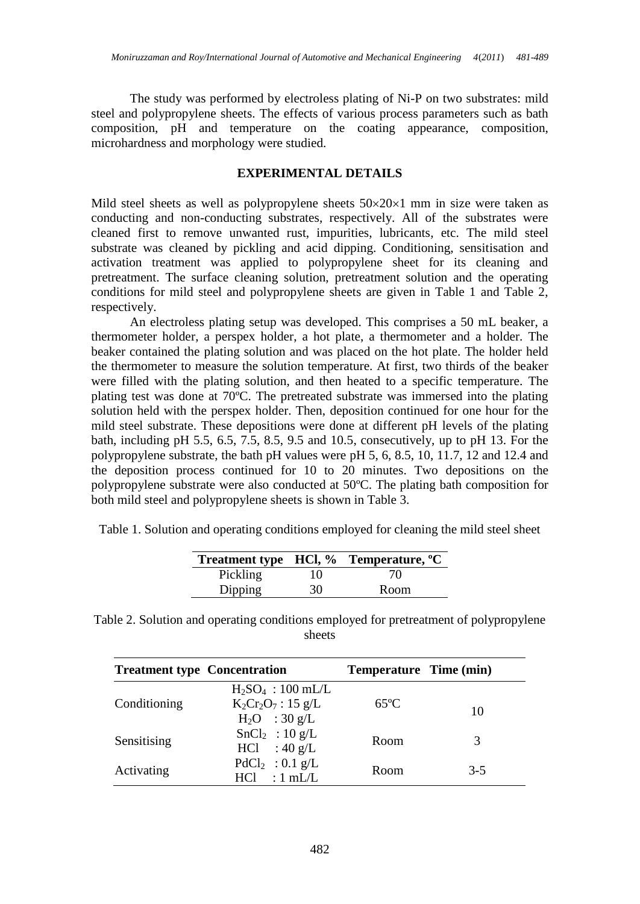The study was performed by electroless plating of Ni-P on two substrates: mild steel and polypropylene sheets. The effects of various process parameters such as bath composition, pH and temperature on the coating appearance, composition, microhardness and morphology were studied.

## **EXPERIMENTAL DETAILS**

Mild steel sheets as well as polypropylene sheets  $50\times20\times1$  mm in size were taken as conducting and non-conducting substrates, respectively. All of the substrates were cleaned first to remove unwanted rust, impurities, lubricants, etc. The mild steel substrate was cleaned by pickling and acid dipping. Conditioning, sensitisation and activation treatment was applied to polypropylene sheet for its cleaning and pretreatment. The surface cleaning solution, pretreatment solution and the operating conditions for mild steel and polypropylene sheets are given in Table 1 and Table 2, respectively.

An electroless plating setup was developed. This comprises a 50 mL beaker, a thermometer holder, a perspex holder, a hot plate, a thermometer and a holder. The beaker contained the plating solution and was placed on the hot plate. The holder held the thermometer to measure the solution temperature. At first, two thirds of the beaker were filled with the plating solution, and then heated to a specific temperature. The plating test was done at 70ºC. The pretreated substrate was immersed into the plating solution held with the perspex holder. Then, deposition continued for one hour for the mild steel substrate. These depositions were done at different pH levels of the plating bath, including pH 5.5, 6.5, 7.5, 8.5, 9.5 and 10.5, consecutively, up to pH 13. For the polypropylene substrate, the bath pH values were pH 5, 6, 8.5, 10, 11.7, 12 and 12.4 and the deposition process continued for 10 to 20 minutes. Two depositions on the polypropylene substrate were also conducted at 50ºC. The plating bath composition for both mild steel and polypropylene sheets is shown in Table 3.

Table 1. Solution and operating conditions employed for cleaning the mild steel sheet

|          |    | Treatment type HCl, % Temperature, °C |
|----------|----|---------------------------------------|
| Pickling | 10 | 70                                    |
| Dipping  | 30 | Room                                  |

Table 2. Solution and operating conditions employed for pretreatment of polypropylene sheets

| <b>Treatment type Concentration</b> |                                                                | Temperature Time (min) |       |
|-------------------------------------|----------------------------------------------------------------|------------------------|-------|
| Conditioning                        | $H_2SO_4:100$ mL/L<br>$K_2Cr_2O_7$ : 15 g/L<br>$H_2O$ : 30 g/L | $65^{\circ}$ C         | 10    |
| Sensitising                         | SnCl <sub>2</sub> : 10 g/L<br>$HCl$ : 40 g/L                   | Room                   | 3     |
| Activating                          | $PdCl_2$ : 0.1 g/L<br>$HCl$ : 1 mL/L                           | Room                   | $3-5$ |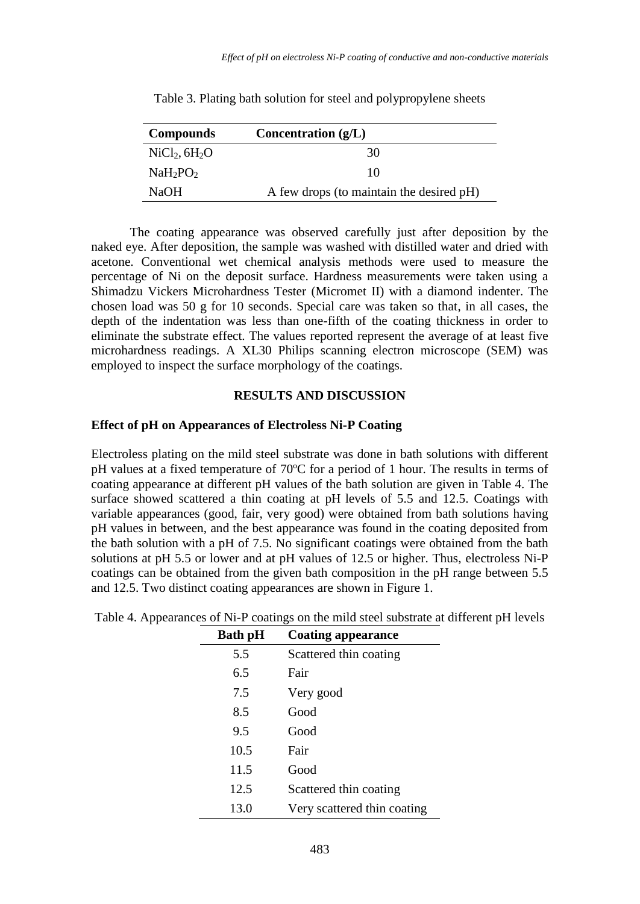| <b>Compounds</b>                              | Concentration $(g/L)$                    |  |
|-----------------------------------------------|------------------------------------------|--|
| $\mathrm{NiCl}_2$ , $6\mathrm{H}_2\mathrm{O}$ | 30                                       |  |
| $NaH_2PO_2$                                   | 10                                       |  |
| NaOH                                          | A few drops (to maintain the desired pH) |  |

Table 3. Plating bath solution for steel and polypropylene sheets

The coating appearance was observed carefully just after deposition by the naked eye. After deposition, the sample was washed with distilled water and dried with acetone. Conventional wet chemical analysis methods were used to measure the percentage of Ni on the deposit surface. Hardness measurements were taken using a Shimadzu Vickers Microhardness Tester (Micromet II) with a diamond indenter. The chosen load was 50 g for 10 seconds. Special care was taken so that, in all cases, the depth of the indentation was less than one-fifth of the coating thickness in order to eliminate the substrate effect. The values reported represent the average of at least five microhardness readings. A XL30 Philips scanning electron microscope (SEM) was employed to inspect the surface morphology of the coatings.

### **RESULTS AND DISCUSSION**

#### **Effect of pH on Appearances of Electroless Ni-P Coating**

Electroless plating on the mild steel substrate was done in bath solutions with different pH values at a fixed temperature of 70ºC for a period of 1 hour. The results in terms of coating appearance at different pH values of the bath solution are given in Table 4. The surface showed scattered a thin coating at pH levels of 5.5 and 12.5. Coatings with variable appearances (good, fair, very good) were obtained from bath solutions having pH values in between, and the best appearance was found in the coating deposited from the bath solution with a pH of 7.5. No significant coatings were obtained from the bath solutions at pH 5.5 or lower and at pH values of 12.5 or higher. Thus, electroless Ni-P coatings can be obtained from the given bath composition in the pH range between 5.5 and 12.5. Two distinct coating appearances are shown in Figure 1.

| <b>Bath pH</b> | <b>Coating appearance</b>   |
|----------------|-----------------------------|
| 5.5            | Scattered thin coating      |
| 6.5            | Fair                        |
| 7.5            | Very good                   |
| 8.5            | Good                        |
| 9.5            | Good                        |
| 10.5           | Fair                        |
| 11.5           | Good                        |
| 12.5           | Scattered thin coating      |
| 13.0           | Very scattered thin coating |

|  | Table 4. Appearances of Ni-P coatings on the mild steel substrate at different pH levels |  |
|--|------------------------------------------------------------------------------------------|--|
|  |                                                                                          |  |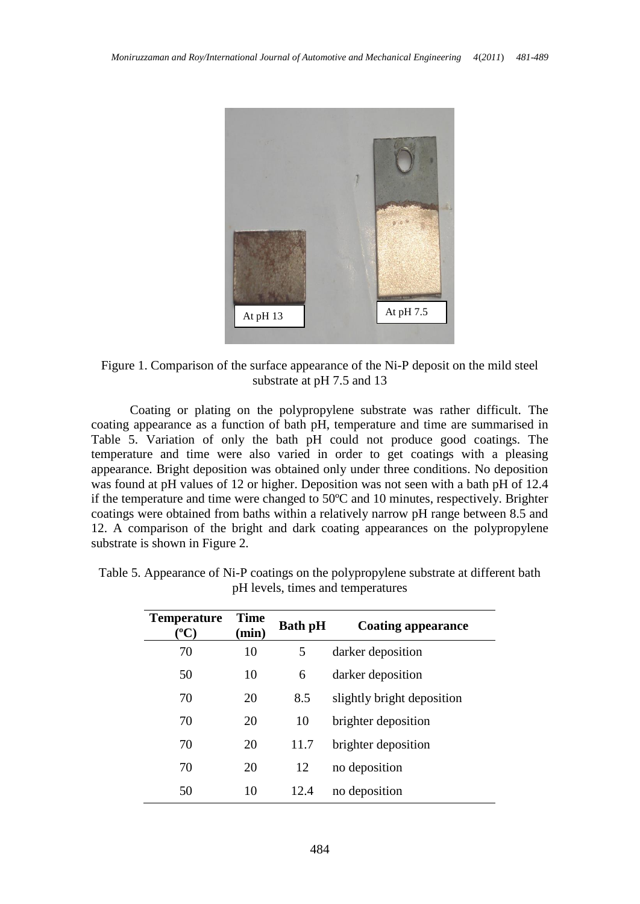

Figure 1. Comparison of the surface appearance of the Ni-P deposit on the mild steel substrate at pH 7.5 and 13

Coating or plating on the polypropylene substrate was rather difficult. The coating appearance as a function of bath pH, temperature and time are summarised in Table 5. Variation of only the bath pH could not produce good coatings. The temperature and time were also varied in order to get coatings with a pleasing appearance. Bright deposition was obtained only under three conditions. No deposition was found at pH values of 12 or higher. Deposition was not seen with a bath pH of 12.4 if the temperature and time were changed to 50ºC and 10 minutes, respectively. Brighter coatings were obtained from baths within a relatively narrow pH range between 8.5 and 12. A comparison of the bright and dark coating appearances on the polypropylene substrate is shown in Figure 2.

| <b>Temperature</b><br>(°C) | <b>Time</b><br>(min) | <b>Bath pH</b> | <b>Coating appearance</b>  |
|----------------------------|----------------------|----------------|----------------------------|
| 70                         | 10                   | 5              | darker deposition          |
| 50                         | 10                   | 6              | darker deposition          |
| 70                         | 20                   | 8.5            | slightly bright deposition |
| 70                         | 20                   | 10             | brighter deposition        |
| 70                         | 20                   | 11.7           | brighter deposition        |
| 70                         | 20                   | 12             | no deposition              |
| 50                         | 10                   | 12.4           | no deposition              |

|                                   | Table 5. Appearance of Ni-P coatings on the polypropylene substrate at different bath |
|-----------------------------------|---------------------------------------------------------------------------------------|
| pH levels, times and temperatures |                                                                                       |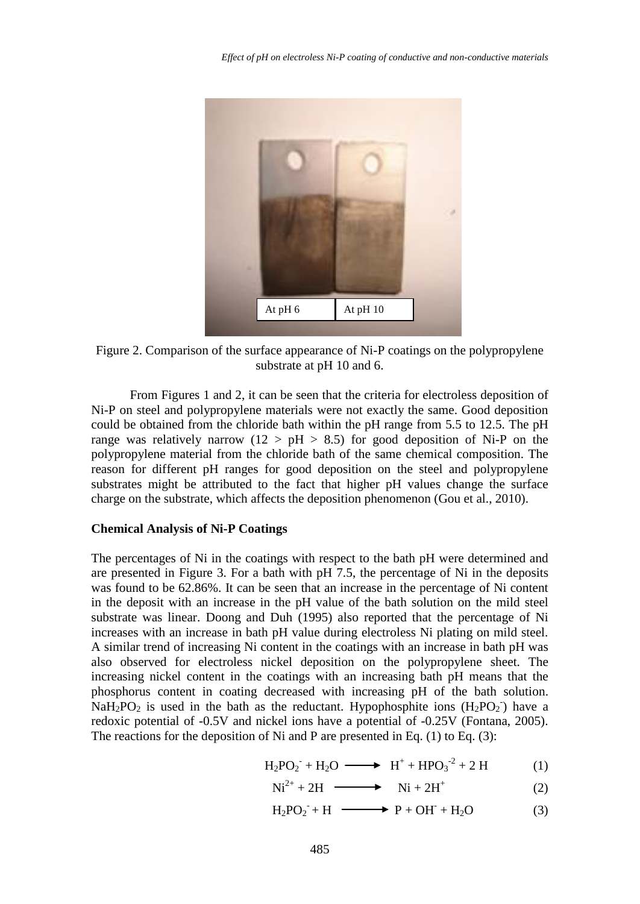

Figure 2. Comparison of the surface appearance of Ni-P coatings on the polypropylene substrate at pH 10 and 6.

From Figures 1 and 2, it can be seen that the criteria for electroless deposition of Ni-P on steel and polypropylene materials were not exactly the same. Good deposition could be obtained from the chloride bath within the pH range from 5.5 to 12.5. The pH range was relatively narrow ( $12 > pH > 8.5$ ) for good deposition of Ni-P on the polypropylene material from the chloride bath of the same chemical composition. The reason for different pH ranges for good deposition on the steel and polypropylene substrates might be attributed to the fact that higher pH values change the surface charge on the substrate, which affects the deposition phenomenon (Gou et al., 2010).

## **Chemical Analysis of Ni-P Coatings**

The percentages of Ni in the coatings with respect to the bath pH were determined and are presented in Figure 3. For a bath with pH 7.5, the percentage of Ni in the deposits was found to be 62.86%. It can be seen that an increase in the percentage of Ni content in the deposit with an increase in the pH value of the bath solution on the mild steel substrate was linear. Doong and Duh (1995) also reported that the percentage of Ni increases with an increase in bath pH value during electroless Ni plating on mild steel. A similar trend of increasing Ni content in the coatings with an increase in bath pH was also observed for electroless nickel deposition on the polypropylene sheet. The increasing nickel content in the coatings with an increasing bath pH means that the phosphorus content in coating decreased with increasing pH of the bath solution.  $\text{NaH}_2\text{PO}_2$  is used in the bath as the reductant. Hypophosphite ions  $(\text{H}_2\text{PO}_2)$  have a redoxic potential of -0.5V and nickel ions have a potential of -0.25V (Fontana, 2005). The reactions for the deposition of Ni and P are presented in Eq. (1) to Eq. (3):

$$
H_2PO_2^{\text{-}} + H_2O \longrightarrow H^+ + HPO_3^{-2} + 2 H
$$
 (1)

$$
Ni^{2+} + 2H \longrightarrow Ni + 2H^{+}
$$
 (2)

$$
H_2PO_2 + H \longrightarrow P + OH + H_2O \tag{3}
$$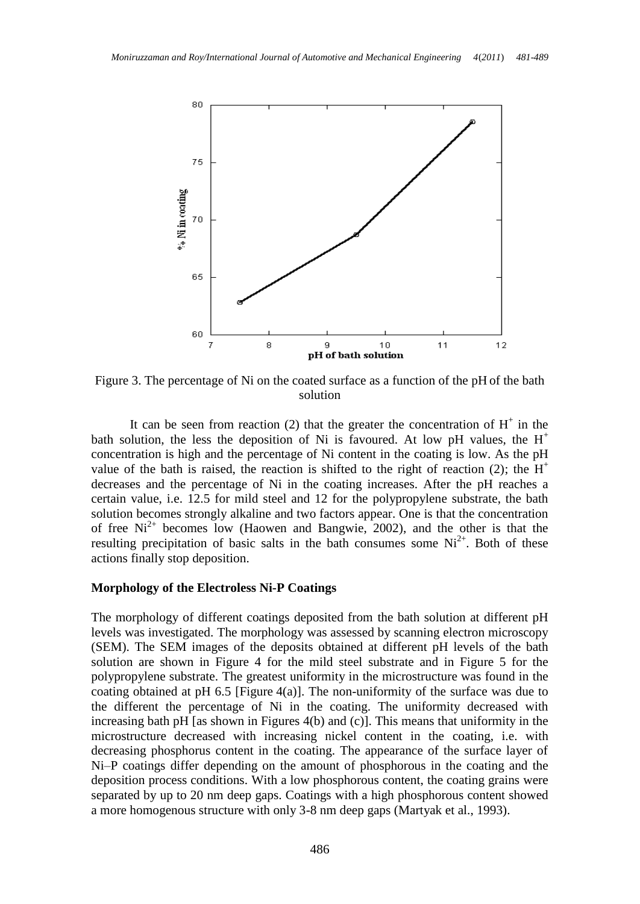

Figure 3. The percentage of Ni on the coated surface as a function of the pH of the bath solution

It can be seen from reaction (2) that the greater the concentration of  $H^+$  in the bath solution, the less the deposition of Ni is favoured. At low pH values, the  $H^+$ concentration is high and the percentage of Ni content in the coating is low. As the pH value of the bath is raised, the reaction is shifted to the right of reaction (2); the  $H^+$ decreases and the percentage of Ni in the coating increases. After the pH reaches a certain value, i.e. 12.5 for mild steel and 12 for the polypropylene substrate, the bath solution becomes strongly alkaline and two factors appear. One is that the concentration of free  $Ni^{2+}$  becomes low (Haowen and Bangwie, 2002), and the other is that the resulting precipitation of basic salts in the bath consumes some  $Ni<sup>2+</sup>$ . Both of these actions finally stop deposition.

#### **Morphology of the Electroless Ni-P Coatings**

The morphology of different coatings deposited from the bath solution at different pH levels was investigated. The morphology was assessed by scanning electron microscopy (SEM). The SEM images of the deposits obtained at different pH levels of the bath solution are shown in Figure 4 for the mild steel substrate and in Figure 5 for the polypropylene substrate. The greatest uniformity in the microstructure was found in the coating obtained at pH 6.5 [Figure 4(a)]. The non-uniformity of the surface was due to the different the percentage of Ni in the coating. The uniformity decreased with increasing bath pH [as shown in Figures 4(b) and (c)]. This means that uniformity in the microstructure decreased with increasing nickel content in the coating, i.e. with decreasing phosphorus content in the coating. The appearance of the surface layer of Ni–P coatings differ depending on the amount of phosphorous in the coating and the deposition process conditions. With a low phosphorous content, the coating grains were separated by up to 20 nm deep gaps. Coatings with a high phosphorous content showed a more homogenous structure with only 3-8 nm deep gaps (Martyak et al., 1993).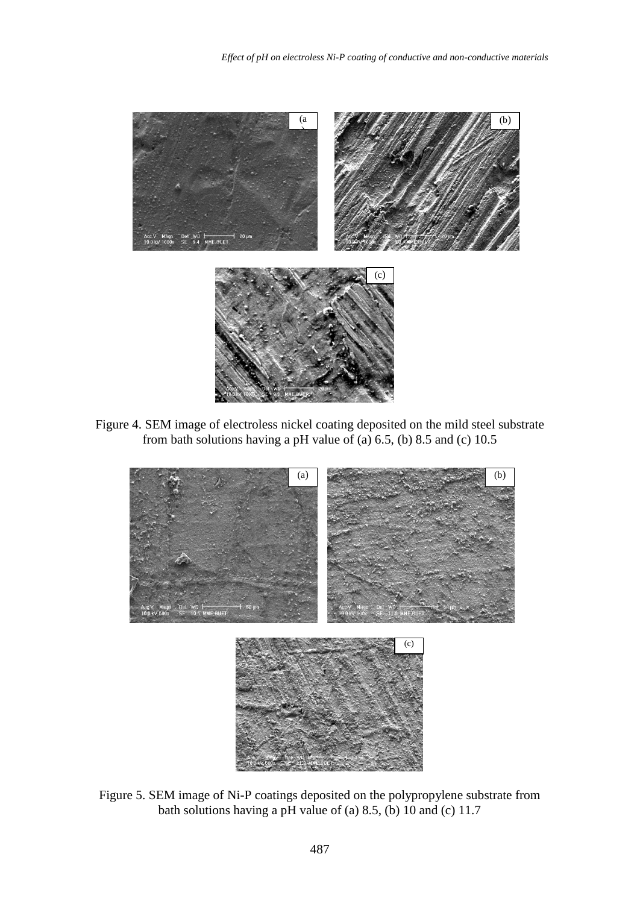

Figure 4. SEM image of electroless nickel coating deposited on the mild steel substrate from bath solutions having a pH value of (a)  $6.5$ , (b)  $8.5$  and (c)  $10.5$ 



Figure 5. SEM image of Ni-P coatings deposited on the polypropylene substrate from bath solutions having a pH value of (a) 8.5, (b) 10 and (c) 11.7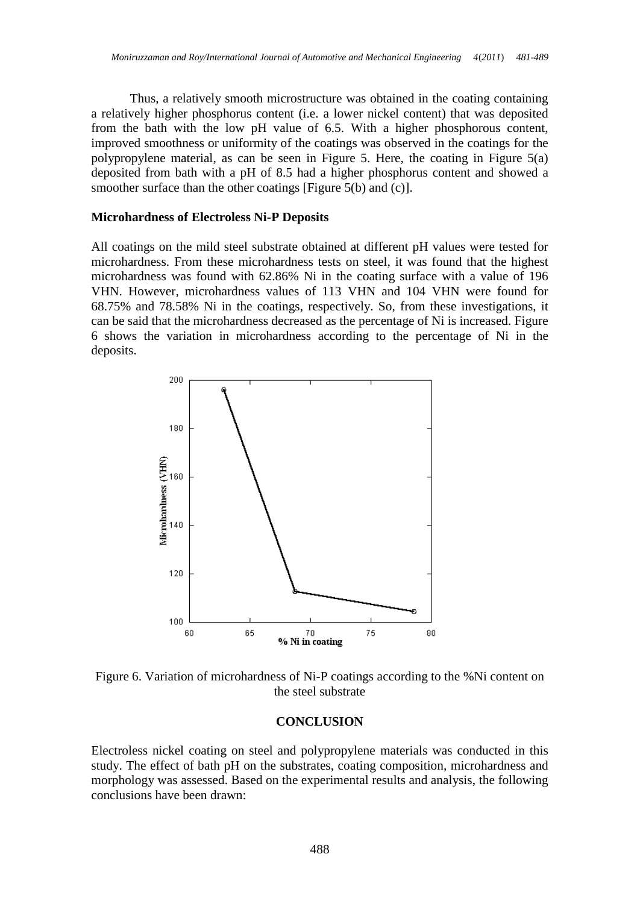Thus, a relatively smooth microstructure was obtained in the coating containing a relatively higher phosphorus content (i.e. a lower nickel content) that was deposited from the bath with the low pH value of 6.5. With a higher phosphorous content, improved smoothness or uniformity of the coatings was observed in the coatings for the polypropylene material, as can be seen in Figure 5. Here, the coating in Figure 5(a) deposited from bath with a pH of 8.5 had a higher phosphorus content and showed a smoother surface than the other coatings [Figure 5(b) and (c)].

#### **Microhardness of Electroless Ni-P Deposits**

All coatings on the mild steel substrate obtained at different pH values were tested for microhardness. From these microhardness tests on steel, it was found that the highest microhardness was found with 62.86% Ni in the coating surface with a value of 196 VHN. However, microhardness values of 113 VHN and 104 VHN were found for 68.75% and 78.58% Ni in the coatings, respectively. So, from these investigations, it can be said that the microhardness decreased as the percentage of Ni is increased. Figure 6 shows the variation in microhardness according to the percentage of Ni in the deposits.



Figure 6. Variation of microhardness of Ni-P coatings according to the %Ni content on the steel substrate

### **CONCLUSION**

Electroless nickel coating on steel and polypropylene materials was conducted in this study. The effect of bath pH on the substrates, coating composition, microhardness and morphology was assessed. Based on the experimental results and analysis, the following conclusions have been drawn: